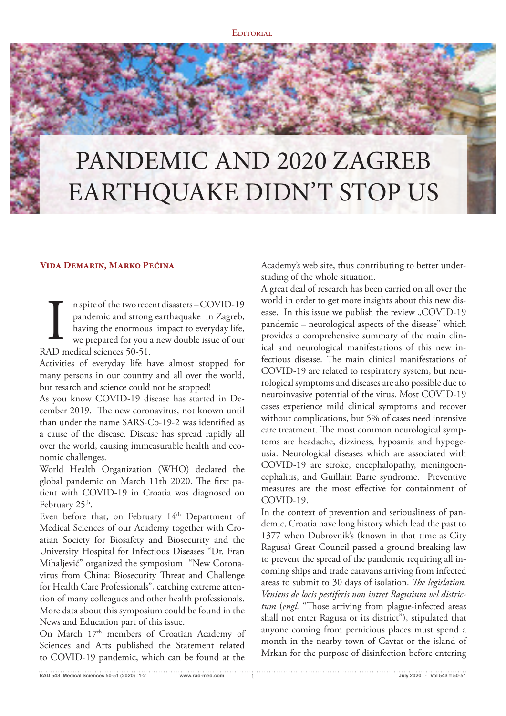## PANDEMIC AND 2020 ZAGREB EARTHQUAKE DIDN'T STOP US

## **Vida Demarin, Marko Pećina**

n spite of the two recent disasters – COVID-19 pandemic and strong earthaquake in Zagreb, having the enormous impact to everyday life, we prepared for you a new double issue of our n spite of the two recessed pandemic and strong<br>having the enormous<br>we prepared for you :<br>RAD medical sciences 50-51.

Activities of everyday life have almost stopped for many persons in our country and all over the world, but resarch and science could not be stopped!

As you know COVID-19 disease has started in December 2019. The new coronavirus, not known until than under the name SARS-Co-19-2 was identified as a cause of the disease. Disease has spread rapidly all over the world, causing immeasurable health and economic challenges.

World Health Organization (WHO) declared the global pandemic on March 11th 2020. The first patient with COVID-19 in Croatia was diagnosed on February 25<sup>th</sup>.

Even before that, on February 14<sup>th</sup> Department of Medical Sciences of our Academy together with Croatian Society for Biosafety and Biosecurity and the University Hospital for Infectious Diseases "Dr. Fran Mihaljević" organized the symposium "New Coronavirus from China: Biosecurity Threat and Challenge for Health Care Professionals", catching extreme attention of many colleagues and other health professionals. More data about this symposium could be found in the News and Education part of this issue.

On March 17<sup>th</sup> members of Croatian Academy of Sciences and Arts published the Statement related to COVID-19 pandemic, which can be found at the

Academy's web site, thus contributing to better understading of the whole situation.

A great deal of research has been carried on all over the world in order to get more insights about this new disease. In this issue we publish the review "COVID-19 pandemic – neurological aspects of the disease" which provides a comprehensive summary of the main clinical and neurological manifestations of this new infectious disease. The main clinical manifestations of COVID-19 are related to respiratory system, but neurological symptoms and diseases are also possible due to neuroinvasive potential of the virus. Most COVID-19 cases experience mild clinical symptoms and recover without complications, but 5% of cases need intensive care treatment. The most common neurological symptoms are headache, dizziness, hyposmia and hypogeusia. Neurological diseases which are associated with COVID-19 are stroke, encephalopathy, meningoencephalitis, and Guillain Barre syndrome. Preventive measures are the most effective for containment of COVID-19.

In the context of prevention and seriousliness of pandemic, Croatia have long history which lead the past to 1377 when Dubrovnik's (known in that time as City Ragusa) Great Council passed a ground-breaking law to prevent the spread of the pandemic requiring all incoming ships and trade caravans arriving from infected areas to submit to 30 days of isolation. *!e legislation, Veniens de locis pestiferis non intret Ragusium vel districtum* (engl. "Those arriving from plague-infected areas shall not enter Ragusa or its district"), stipulated that anyone coming from pernicious places must spend a month in the nearby town of Cavtat or the island of Mrkan for the purpose of disinfection before entering